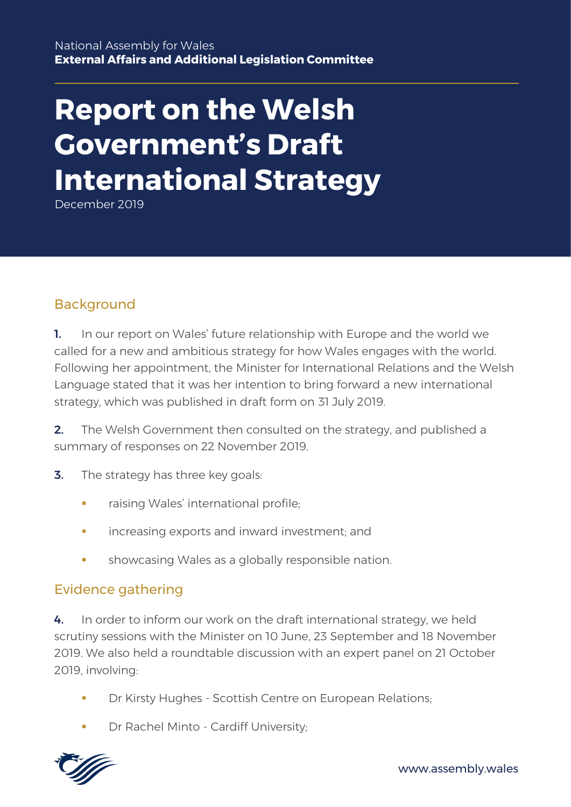# **Report on the Welsh Government's Draft International Strategy**

December 2019

### Background

1. In our report on Wales' future relationship with Europe and the world we called for a new and ambitious strategy for how Wales engages with the world. Following her appointment, the Minister for International Relations and the Welsh Language stated that it was her intention to bring forward a new international strategy, which was published in draft form on 31 July 2019.

2. The Welsh Government then consulted on the strategy, and published a summary of responses on 22 November 2019.

- **3.** The strategy has three key goals:
	- raising Wales' international profile:
	- increasing exports and inward investment; and
	- showcasing Wales as a globally responsible nation.

#### Evidence gathering

4. In order to inform our work on the draft international strategy, we held scrutiny sessions with the Minister on 10 June, 23 September and 18 November 2019. We also held a roundtable discussion with an expert panel on 21 October 2019, involving:

- Dr Kirsty Hughes Scottish Centre on European Relations:
- Dr Rachel Minto Cardiff University;

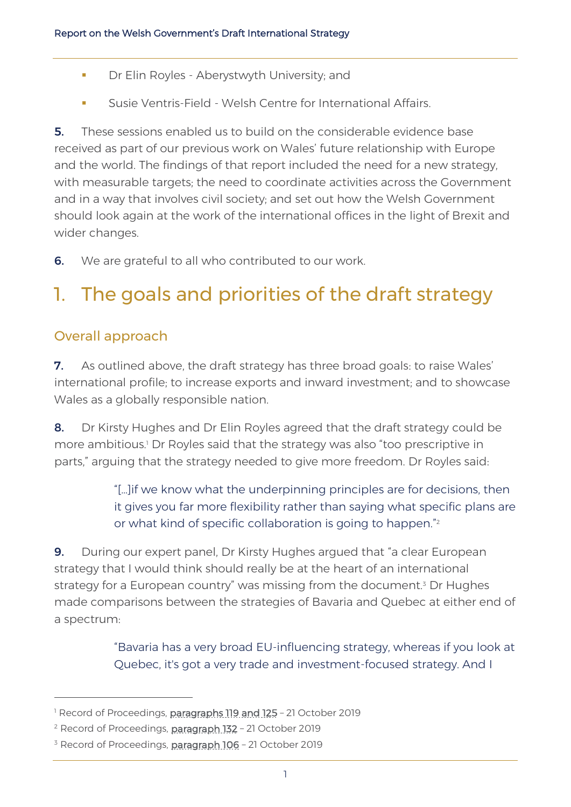- **Dr Elin Royles Aberystwyth University; and**
- **EXECUSE:** Susie Ventris-Field Welsh Centre for International Affairs.

5. These sessions enabled us to build on the considerable evidence base received as part of our previous work on Wales' future relationship with Europe and the world. The findings of that report included the need for a new strategy, with measurable targets; the need to coordinate activities across the Government and in a way that involves civil society; and set out how the Welsh Government should look again at the work of the international offices in the light of Brexit and wider changes.

**6.** We are grateful to all who contributed to our work.

# 1. The goals and priorities of the draft strategy

### Overall approach

**7.** As outlined above, the draft strategy has three broad goals: to raise Wales' international profile; to increase exports and inward investment; and to showcase Wales as a globally responsible nation.

8. Dr Kirsty Hughes and Dr Elin Royles agreed that the draft strategy could be more ambitious.<sup>1</sup> Dr Royles said that the strategy was also "too prescriptive in parts," arguing that the strategy needed to give more freedom. Dr Royles said:

> "[…]if we know what the underpinning principles are for decisions, then it gives you far more flexibility rather than saying what specific plans are or what kind of specific collaboration is going to happen." 2

9. During our expert panel, Dr Kirsty Hughes argued that "a clear European strategy that I would think should really be at the heart of an international strategy for a European country" was missing from the document.<sup>3</sup> Dr Hughes made comparisons between the strategies of Bavaria and Quebec at either end of a spectrum:

> "Bavaria has a very broad EU-influencing strategy, whereas if you look at Quebec, it's got a very trade and investment-focused strategy. And I

<sup>&</sup>lt;sup>1</sup> Record of Proceedings, [paragraphs 119 and 125](https://record.assembly.wales/Meeting/5642) - 21 October 2019

<sup>&</sup>lt;sup>2</sup> Record of Proceedings, **paragraph 132** - 21 October 2019

<sup>&</sup>lt;sup>3</sup> Record of Proceedings, **paragraph 106** - 21 October 2019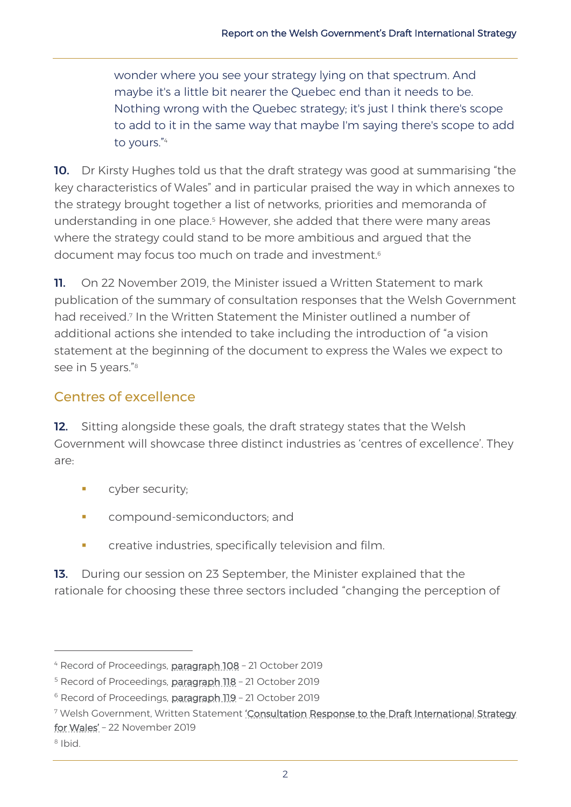wonder where you see your strategy lying on that spectrum. And maybe it's a little bit nearer the Quebec end than it needs to be. Nothing wrong with the Quebec strategy; it's just I think there's scope to add to it in the same way that maybe I'm saying there's scope to add to yours." 4

10. Dr Kirsty Hughes told us that the draft strategy was good at summarising "the key characteristics of Wales" and in particular praised the way in which annexes to the strategy brought together a list of networks, priorities and memoranda of understanding in one place.<sup>5</sup> However, she added that there were many areas where the strategy could stand to be more ambitious and argued that the document may focus too much on trade and investment. 6

11. On 22 November 2019, the Minister issued a Written Statement to mark publication of the summary of consultation responses that the Welsh Government had received.<sup>7</sup> In the Written Statement the Minister outlined a number of additional actions she intended to take including the introduction of "a vision statement at the beginning of the document to express the Wales we expect to see in 5 years."<sup>8</sup>

### Centres of excellence

12. Sitting alongside these goals, the draft strategy states that the Welsh Government will showcase three distinct industries as 'centres of excellence'. They are:

- **cyber security;**
- **•** compound-semiconductors; and
- **•** creative industries, specifically television and film.

13. During our session on 23 September, the Minister explained that the rationale for choosing these three sectors included "changing the perception of

<sup>4</sup> Record of Proceedings, [paragraph 108](https://record.assembly.wales/Meeting/5642) – 21 October 2019

<sup>&</sup>lt;sup>5</sup> Record of Proceedings, [paragraph 118](https://record.assembly.wales/Meeting/5642) - 21 October 2019

<sup>&</sup>lt;sup>6</sup> Record of Proceedings, [paragraph 119](https://record.assembly.wales/Meeting/5642) - 21 October 2019

<sup>&</sup>lt;sup>7</sup> Welsh Government, Written Statement 'Consultation Response to the Draft International Strategy [for Wales'](https://gov.wales/written-statement-consultation-response-draft-international-strategy-wales) – 22 November 2019

<sup>8</sup> Ibid.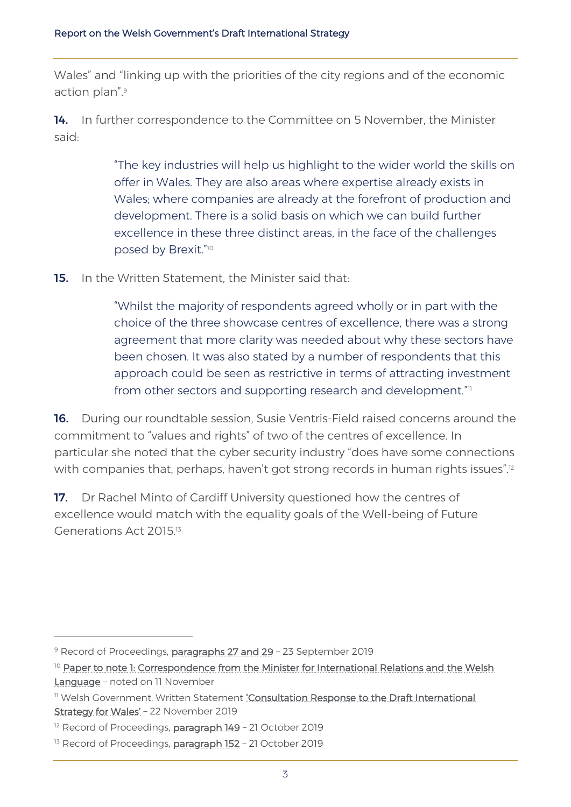Wales" and "linking up with the priorities of the city regions and of the economic action plan".<sup>9</sup>

14. In further correspondence to the Committee on 5 November, the Minister said:

> "The key industries will help us highlight to the wider world the skills on offer in Wales. They are also areas where expertise already exists in Wales; where companies are already at the forefront of production and development. There is a solid basis on which we can build further excellence in these three distinct areas, in the face of the challenges posed by Brexit." 10

**15.** In the Written Statement, the Minister said that:

"Whilst the majority of respondents agreed wholly or in part with the choice of the three showcase centres of excellence, there was a strong agreement that more clarity was needed about why these sectors have been chosen. It was also stated by a number of respondents that this approach could be seen as restrictive in terms of attracting investment from other sectors and supporting research and development." $\scriptstyle\rm II$ 

16. During our roundtable session, Susie Ventris-Field raised concerns around the commitment to "values and rights" of two of the centres of excellence. In particular she noted that the cyber security industry "does have some connections with companies that, perhaps, haven't got strong records in human rights issues".<sup>12</sup>

17. Dr Rachel Minto of Cardiff University questioned how the centres of excellence would match with the equality goals of the Well-being of Future Generations Act 2015.<sup>13</sup>

<sup>&</sup>lt;sup>9</sup> Record of Proceedings, [paragraphs 27 and 29](https://record.assembly.wales/Meeting/5635) - 23 September 2019

<sup>&</sup>lt;sup>10</sup> Paper to note 1: Correspondence from the Minister for International Relations and the Welsh [Language](http://senedd.assembly.wales/ieListDocuments.aspx?CId=449&MId=5644&Ver=4) - noted on 11 November

<sup>&</sup>lt;sup>11</sup> Welsh Government, Written Statement 'Consultation Response to the Draft International [Strategy for Wales](https://gov.wales/written-statement-consultation-response-draft-international-strategy-wales)' – 22 November 2019

<sup>&</sup>lt;sup>12</sup> Record of Proceedings, **paragraph 149** - 21 October 2019

<sup>&</sup>lt;sup>13</sup> Record of Proceedings, [paragraph 152](https://record.assembly.wales/Meeting/5642) - 21 October 2019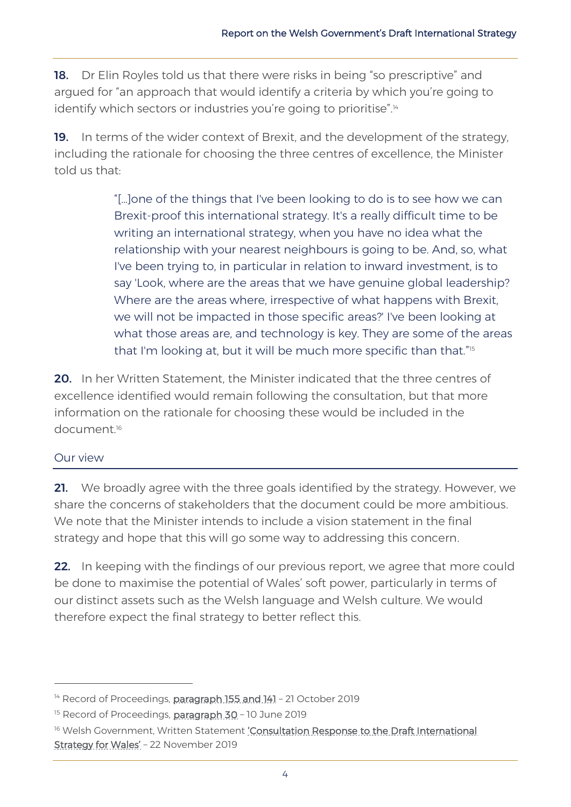18. Dr Elin Royles told us that there were risks in being "so prescriptive" and argued for "an approach that would identify a criteria by which you're going to identify which sectors or industries you're going to prioritise".<sup>14</sup>

19. In terms of the wider context of Brexit, and the development of the strategy, including the rationale for choosing the three centres of excellence, the Minister told us that:

> "[…]one of the things that I've been looking to do is to see how we can Brexit-proof this international strategy. It's a really difficult time to be writing an international strategy, when you have no idea what the relationship with your nearest neighbours is going to be. And, so, what I've been trying to, in particular in relation to inward investment, is to say 'Look, where are the areas that we have genuine global leadership? Where are the areas where, irrespective of what happens with Brexit, we will not be impacted in those specific areas?' I've been looking at what those areas are, and technology is key. They are some of the areas that I'm looking at, but it will be much more specific than that."<sup>15</sup>

20. In her Written Statement, the Minister indicated that the three centres of excellence identified would remain following the consultation, but that more information on the rationale for choosing these would be included in the document.<sup>16</sup>

#### Our view

21. We broadly agree with the three goals identified by the strategy. However, we share the concerns of stakeholders that the document could be more ambitious. We note that the Minister intends to include a vision statement in the final strategy and hope that this will go some way to addressing this concern.

22. In keeping with the findings of our previous report, we agree that more could be done to maximise the potential of Wales' soft power, particularly in terms of our distinct assets such as the Welsh language and Welsh culture. We would therefore expect the final strategy to better reflect this.

<sup>&</sup>lt;sup>14</sup> Record of Proceedings, [paragraph 155](https://record.assembly.wales/Meeting/5642) and 141 - 21 October 2019

<sup>&</sup>lt;sup>15</sup> Record of Proceedings, [paragraph 30](https://record.assembly.wales/Meeting/5467) - 10 June 2019

<sup>&</sup>lt;sup>16</sup> Welsh Government, Written Statement 'Consultation Response to the Draft International [Strategy for Wales'](https://gov.wales/written-statement-consultation-response-draft-international-strategy-wales) – 22 November 2019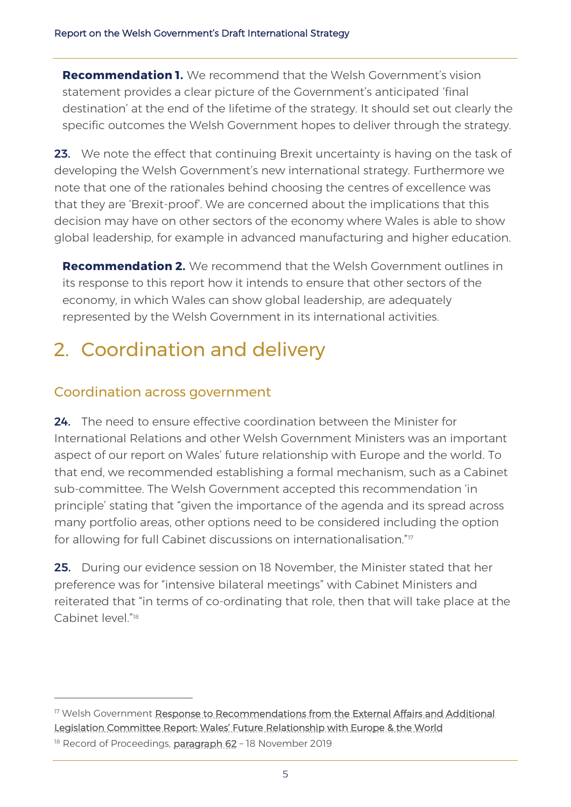**Recommendation 1.** We recommend that the Welsh Government's vision statement provides a clear picture of the Government's anticipated 'final destination' at the end of the lifetime of the strategy. It should set out clearly the specific outcomes the Welsh Government hopes to deliver through the strategy.

23. We note the effect that continuing Brexit uncertainty is having on the task of developing the Welsh Government's new international strategy. Furthermore we note that one of the rationales behind choosing the centres of excellence was that they are 'Brexit-proof'. We are concerned about the implications that this decision may have on other sectors of the economy where Wales is able to show global leadership, for example in advanced manufacturing and higher education.

**Recommendation 2.** We recommend that the Welsh Government outlines in its response to this report how it intends to ensure that other sectors of the economy, in which Wales can show global leadership, are adequately represented by the Welsh Government in its international activities.

# 2. Coordination and delivery

### Coordination across government

24. The need to ensure effective coordination between the Minister for International Relations and other Welsh Government Ministers was an important aspect of our report on Wales' future relationship with Europe and the world. To that end, we recommended establishing a formal mechanism, such as a Cabinet sub-committee. The Welsh Government accepted this recommendation 'in principle' stating that "given the importance of the agenda and its spread across many portfolio areas, other options need to be considered including the option for allowing for full Cabinet discussions on internationalisation."<sup>17</sup>

**25.** During our evidence session on 18 November, the Minister stated that her preference was for "intensive bilateral meetings" with Cabinet Ministers and reiterated that "in terms of co-ordinating that role, then that will take place at the Cabinet level." 18

<sup>&</sup>lt;sup>17</sup> Welsh Government Response to Recommendations from the External Affairs and Additional [Legislation Committee Report: Wales' Future Relationship with Europe & the World](http://www.assembly.wales/laid%20documents/gen-ld12502/gen-ld12502-e.pdf) <sup>18</sup> Record of Proceedings, [paragraph 62](https://record.assembly.wales/Meeting/5645) - 18 November 2019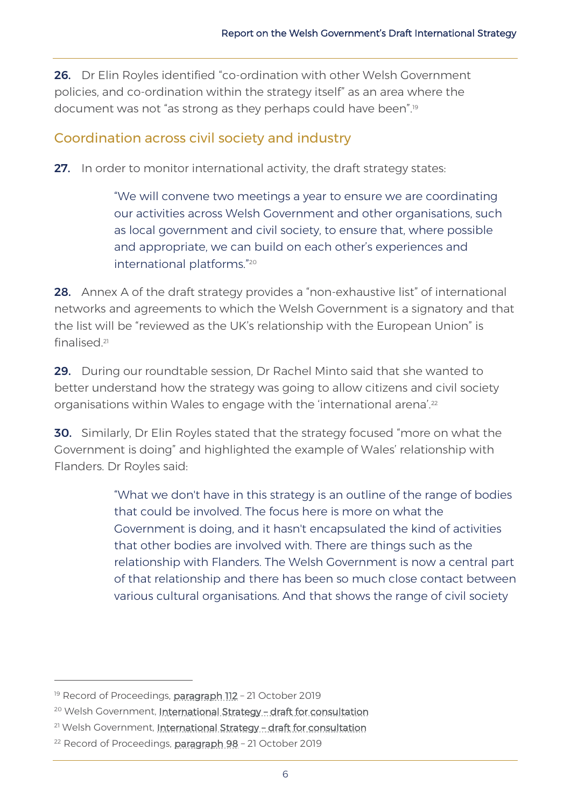26. Dr Elin Royles identified "co-ordination with other Welsh Government policies, and co-ordination within the strategy itself" as an area where the document was not "as strong as they perhaps could have been".<sup>19</sup>

#### Coordination across civil society and industry

**27.** In order to monitor international activity, the draft strategy states:

"We will convene two meetings a year to ensure we are coordinating our activities across Welsh Government and other organisations, such as local government and civil society, to ensure that, where possible and appropriate, we can build on each other's experiences and international platforms."<sup>20</sup>

28. Annex A of the draft strategy provides a "non-exhaustive list" of international networks and agreements to which the Welsh Government is a signatory and that the list will be "reviewed as the UK's relationship with the European Union" is finalised. 21

29. During our roundtable session, Dr Rachel Minto said that she wanted to better understand how the strategy was going to allow citizens and civil society organisations within Wales to engage with the 'international arena'.<sup>22</sup>

**30.** Similarly, Dr Elin Royles stated that the strategy focused "more on what the Government is doing" and highlighted the example of Wales' relationship with Flanders. Dr Royles said:

> "What we don't have in this strategy is an outline of the range of bodies that could be involved. The focus here is more on what the Government is doing, and it hasn't encapsulated the kind of activities that other bodies are involved with. There are things such as the relationship with Flanders. The Welsh Government is now a central part of that relationship and there has been so much close contact between various cultural organisations. And that shows the range of civil society

<sup>&</sup>lt;sup>19</sup> Record of Proceedings, **paragraph 112** - 21 October 2019

<sup>&</sup>lt;sup>20</sup> Welsh Government, [International Strategy](https://gov.wales/draft-international-strategy-for-wales) - draft for consultation

<sup>&</sup>lt;sup>21</sup> Welsh Government, [International Strategy](https://gov.wales/draft-international-strategy-for-wales) - draft for consultation

<sup>&</sup>lt;sup>22</sup> Record of Proceedings, **[paragraph 98](https://record.assembly.wales/Meeting/5642)** - 21 October 2019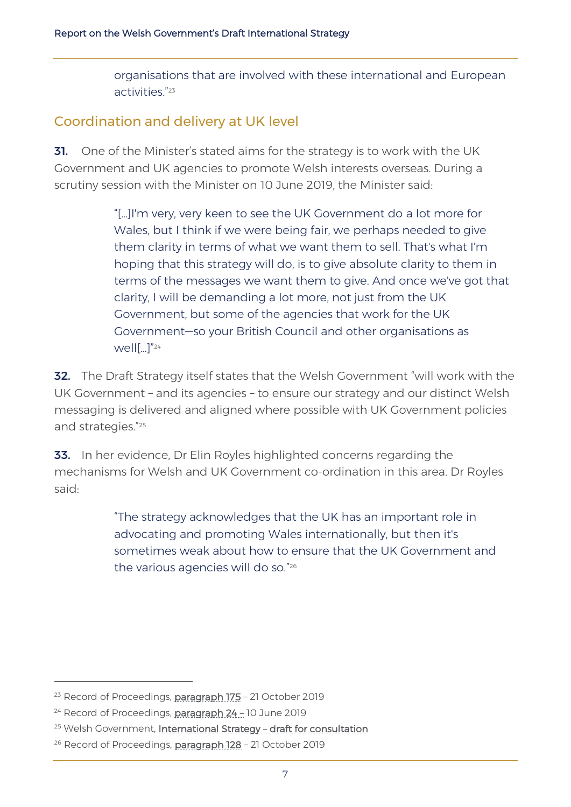organisations that are involved with these international and European activities." 23

#### Coordination and delivery at UK level

**31.** One of the Minister's stated aims for the strategy is to work with the UK Government and UK agencies to promote Welsh interests overseas. During a scrutiny session with the Minister on 10 June 2019, the Minister said:

> "[…]I'm very, very keen to see the UK Government do a lot more for Wales, but I think if we were being fair, we perhaps needed to give them clarity in terms of what we want them to sell. That's what I'm hoping that this strategy will do, is to give absolute clarity to them in terms of the messages we want them to give. And once we've got that clarity, I will be demanding a lot more, not just from the UK Government, but some of the agencies that work for the UK Government—so your British Council and other organisations as well[…]"<sup>24</sup>

32. The Draft Strategy itself states that the Welsh Government "will work with the UK Government – and its agencies – to ensure our strategy and our distinct Welsh messaging is delivered and aligned where possible with UK Government policies and strategies."<sup>25</sup>

**33.** In her evidence, Dr Elin Royles highlighted concerns regarding the mechanisms for Welsh and UK Government co-ordination in this area. Dr Royles said:

> "The strategy acknowledges that the UK has an important role in advocating and promoting Wales internationally, but then it's sometimes weak about how to ensure that the UK Government and the various agencies will do so." 26

<sup>&</sup>lt;sup>23</sup> Record of Proceedings, **paragraph 175** - 21 October 2019

<sup>&</sup>lt;sup>24</sup> Record of Proceedings, [paragraph 24](https://record.assembly.wales/Committee/5467) - 10 June 2019

<sup>&</sup>lt;sup>25</sup> Welsh Government, [International Strategy](https://gov.wales/draft-international-strategy-for-wales) - draft for consultation

<sup>&</sup>lt;sup>26</sup> Record of Proceedings, [paragraph 128](https://record.assembly.wales/Meeting/5642) - 21 October 2019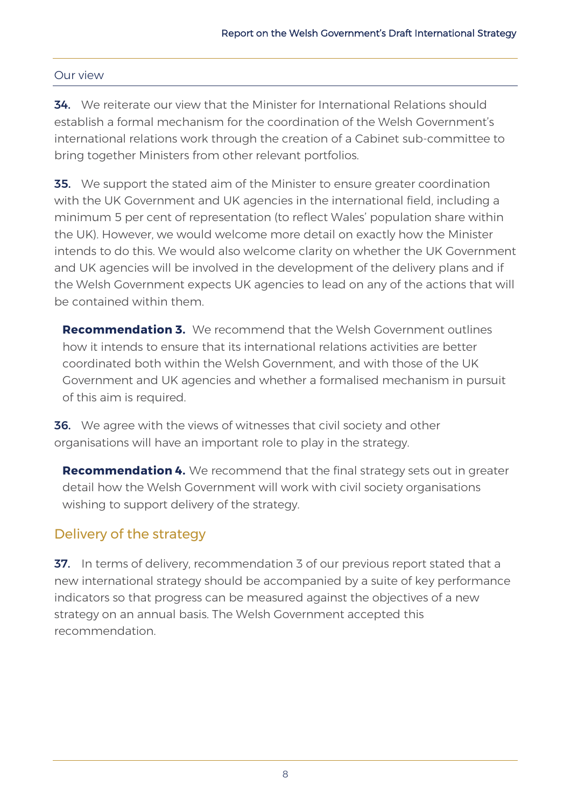#### Our view

34. We reiterate our view that the Minister for International Relations should establish a formal mechanism for the coordination of the Welsh Government's international relations work through the creation of a Cabinet sub-committee to bring together Ministers from other relevant portfolios.

**35.** We support the stated aim of the Minister to ensure greater coordination with the UK Government and UK agencies in the international field, including a minimum 5 per cent of representation (to reflect Wales' population share within the UK). However, we would welcome more detail on exactly how the Minister intends to do this. We would also welcome clarity on whether the UK Government and UK agencies will be involved in the development of the delivery plans and if the Welsh Government expects UK agencies to lead on any of the actions that will be contained within them.

**Recommendation 3.** We recommend that the Welsh Government outlines how it intends to ensure that its international relations activities are better coordinated both within the Welsh Government, and with those of the UK Government and UK agencies and whether a formalised mechanism in pursuit of this aim is required.

**36.** We agree with the views of witnesses that civil society and other organisations will have an important role to play in the strategy.

**Recommendation 4.** We recommend that the final strategy sets out in greater detail how the Welsh Government will work with civil society organisations wishing to support delivery of the strategy.

### Delivery of the strategy

37. In terms of delivery, recommendation 3 of our previous report stated that a new international strategy should be accompanied by a suite of key performance indicators so that progress can be measured against the objectives of a new strategy on an annual basis. The Welsh Government accepted this recommendation.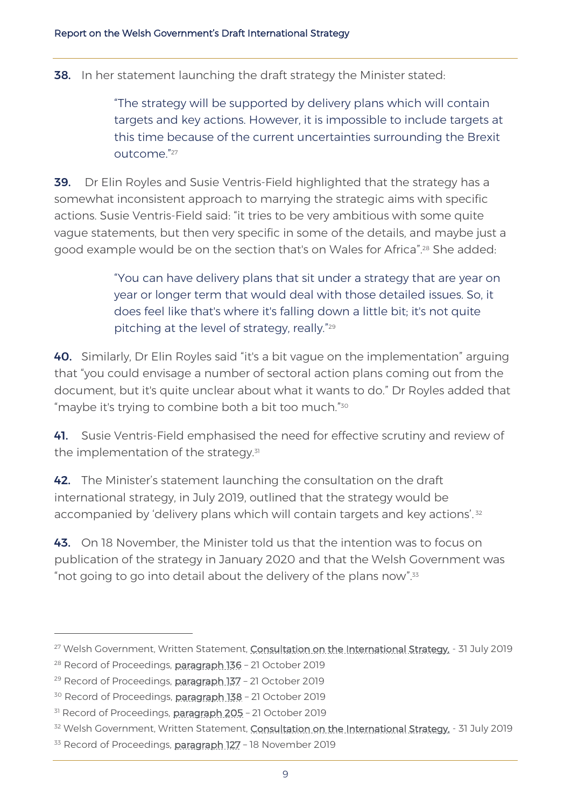**38.** In her statement launching the draft strategy the Minister stated:

"The strategy will be supported by delivery plans which will contain targets and key actions. However, it is impossible to include targets at this time because of the current uncertainties surrounding the Brexit outcome."<sup>27</sup>

**39.** Dr Elin Royles and Susie Ventris-Field highlighted that the strategy has a somewhat inconsistent approach to marrying the strategic aims with specific actions. Susie Ventris-Field said: "it tries to be very ambitious with some quite vague statements, but then very specific in some of the details, and maybe just a good example would be on the section that's on Wales for Africa". <sup>28</sup> She added:

> "You can have delivery plans that sit under a strategy that are year on year or longer term that would deal with those detailed issues. So, it does feel like that's where it's falling down a little bit; it's not quite pitching at the level of strategy, really." 29

40. Similarly, Dr Elin Royles said "it's a bit vague on the implementation" arguing that "you could envisage a number of sectoral action plans coming out from the document, but it's quite unclear about what it wants to do." Dr Royles added that "maybe it's trying to combine both a bit too much." $^{\text{30}}$ 

41. Susie Ventris-Field emphasised the need for effective scrutiny and review of the implementation of the strategy. $31$ 

42. The Minister's statement launching the consultation on the draft international strategy, in July 2019, outlined that the strategy would be accompanied by 'delivery plans which will contain targets and key actions'.<sup>32</sup>

**43.** On 18 November, the Minister told us that the intention was to focus on publication of the strategy in January 2020 and that the Welsh Government was "not going to go into detail about the delivery of the plans now".<sup>33</sup>

<sup>&</sup>lt;sup>27</sup> Welsh Government, Written Statement, [Consultation on the International Strategy,](https://gov.wales/written-statement-consultation-response-draft-international-strategy-wales) - 31 July 2019

<sup>&</sup>lt;sup>28</sup> Record of Proceedings, **paragraph 136** - 21 October 2019

<sup>&</sup>lt;sup>29</sup> Record of Proceedings, [paragraph 137](https://record.assembly.wales/Meeting/5642) - 21 October 2019

<sup>&</sup>lt;sup>30</sup> Record of Proceedings, **paragraph 138** - 21 October 2019

<sup>&</sup>lt;sup>31</sup> Record of Proceedings, **paragraph 205** - 21 October 2019

<sup>&</sup>lt;sup>32</sup> Welsh Government, Written Statement, [Consultation on the International Strategy,](https://gov.wales/written-statement-consultation-response-draft-international-strategy-wales) - 31 July 2019

<sup>&</sup>lt;sup>33</sup> Record of Proceedings, [paragraph 127](https://record.assembly.wales/Meeting/5645) - 18 November 2019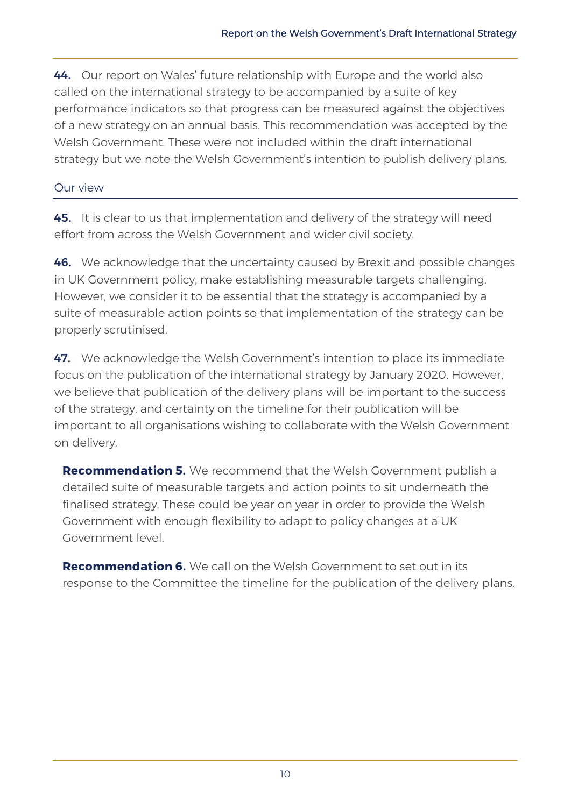44. Our report on Wales' future relationship with Europe and the world also called on the international strategy to be accompanied by a suite of key performance indicators so that progress can be measured against the objectives of a new strategy on an annual basis. This recommendation was accepted by the Welsh Government. These were not included within the draft international strategy but we note the Welsh Government's intention to publish delivery plans.

#### Our view

45. It is clear to us that implementation and delivery of the strategy will need effort from across the Welsh Government and wider civil society.

46. We acknowledge that the uncertainty caused by Brexit and possible changes in UK Government policy, make establishing measurable targets challenging. However, we consider it to be essential that the strategy is accompanied by a suite of measurable action points so that implementation of the strategy can be properly scrutinised.

47. We acknowledge the Welsh Government's intention to place its immediate focus on the publication of the international strategy by January 2020. However, we believe that publication of the delivery plans will be important to the success of the strategy, and certainty on the timeline for their publication will be important to all organisations wishing to collaborate with the Welsh Government on delivery.

**Recommendation 5.** We recommend that the Welsh Government publish a detailed suite of measurable targets and action points to sit underneath the finalised strategy. These could be year on year in order to provide the Welsh Government with enough flexibility to adapt to policy changes at a UK Government level.

**Recommendation 6.** We call on the Welsh Government to set out in its response to the Committee the timeline for the publication of the delivery plans.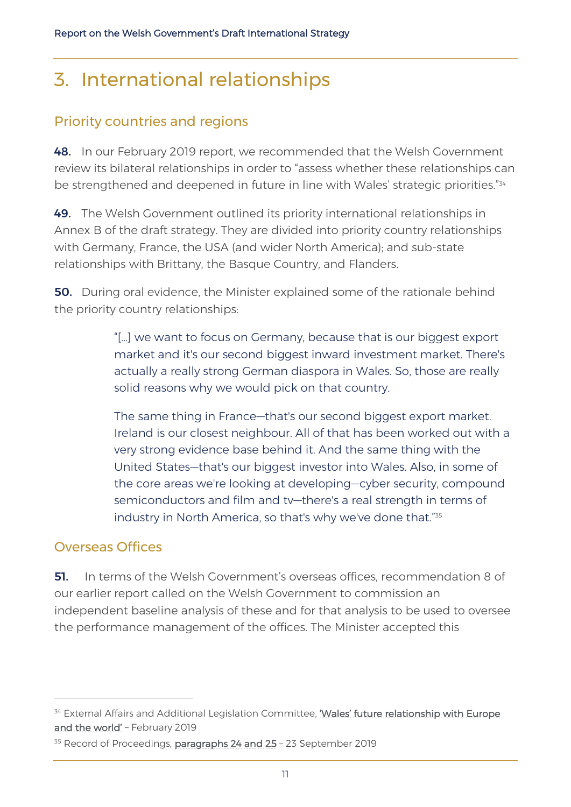# 3. International relationships

## Priority countries and regions

48. In our February 2019 report, we recommended that the Welsh Government review its bilateral relationships in order to "assess whether these relationships can be strengthened and deepened in future in line with Wales' strategic priorities."<sup>34</sup>

49. The Welsh Government outlined its priority international relationships in Annex B of the draft strategy. They are divided into priority country relationships with Germany, France, the USA (and wider North America); and sub-state relationships with Brittany, the Basque Country, and Flanders.

**50.** During oral evidence, the Minister explained some of the rationale behind the priority country relationships:

> "[…] we want to focus on Germany, because that is our biggest export market and it's our second biggest inward investment market. There's actually a really strong German diaspora in Wales. So, those are really solid reasons why we would pick on that country.

The same thing in France—that's our second biggest export market. Ireland is our closest neighbour. All of that has been worked out with a very strong evidence base behind it. And the same thing with the United States—that's our biggest investor into Wales. Also, in some of the core areas we're looking at developing—cyber security, compound semiconductors and film and tv—there's a real strength in terms of industry in North America, so that's why we've done that." 35

#### Overseas Offices

51. In terms of the Welsh Government's overseas offices, recommendation 8 of our earlier report called on the Welsh Government to commission an independent baseline analysis of these and for that analysis to be used to oversee the performance management of the offices. The Minister accepted this

<sup>&</sup>lt;sup>34</sup> External Affairs and Additional Legislation Committee, 'Wales' future relationship with Europe [and the world'](http://www.assembly.wales/laid%20documents/cr-ld12214/cr-ld12214-e.pdf) - February 2019

<sup>&</sup>lt;sup>35</sup> Record of Proceedings, **[paragraphs 24 and 25](https://record.assembly.wales/Committee/5635)** - 23 September 2019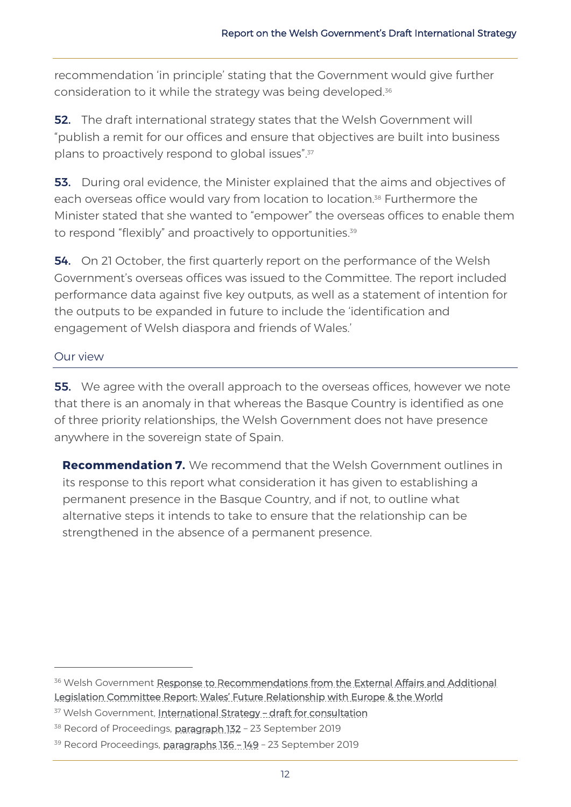recommendation 'in principle' stating that the Government would give further consideration to it while the strategy was being developed.<sup>36</sup>

**52.** The draft international strategy states that the Welsh Government will "publish a remit for our offices and ensure that objectives are built into business plans to proactively respond to global issues".<sup>37</sup>

**53.** During oral evidence, the Minister explained that the aims and objectives of each overseas office would vary from location to location.<sup>38</sup> Furthermore the Minister stated that she wanted to "empower" the overseas offices to enable them to respond "flexibly" and proactively to opportunities.<sup>39</sup>

54. On 21 October, the first quarterly report on the performance of the Welsh Government's overseas offices was issued to the Committee. The report included performance data against five key outputs, as well as a statement of intention for the outputs to be expanded in future to include the 'identification and engagement of Welsh diaspora and friends of Wales.'

#### Our view

**55.** We agree with the overall approach to the overseas offices, however we note that there is an anomaly in that whereas the Basque Country is identified as one of three priority relationships, the Welsh Government does not have presence anywhere in the sovereign state of Spain.

**Recommendation 7.** We recommend that the Welsh Government outlines in its response to this report what consideration it has given to establishing a permanent presence in the Basque Country, and if not, to outline what alternative steps it intends to take to ensure that the relationship can be strengthened in the absence of a permanent presence.

<sup>&</sup>lt;sup>36</sup> Welsh Government Response to Recommendations from the External Affairs and Additional [Legislation Committee Report: Wales' Future Relationsh](http://www.assembly.wales/laid%20documents/gen-ld12502/gen-ld12502-e.pdf)ip with Europe & the World

<sup>37</sup> Welsh Government, [International Strategy](https://gov.wales/draft-international-strategy-for-wales) - draft for consultation

<sup>&</sup>lt;sup>38</sup> Record of Proceedings, [paragraph 132](https://record.assembly.wales/Meeting/5635) - 23 September 2019

<sup>&</sup>lt;sup>39</sup> Record Proceedings, [paragraphs 136](https://record.assembly.wales/Meeting/5635) - 149 - 23 September 2019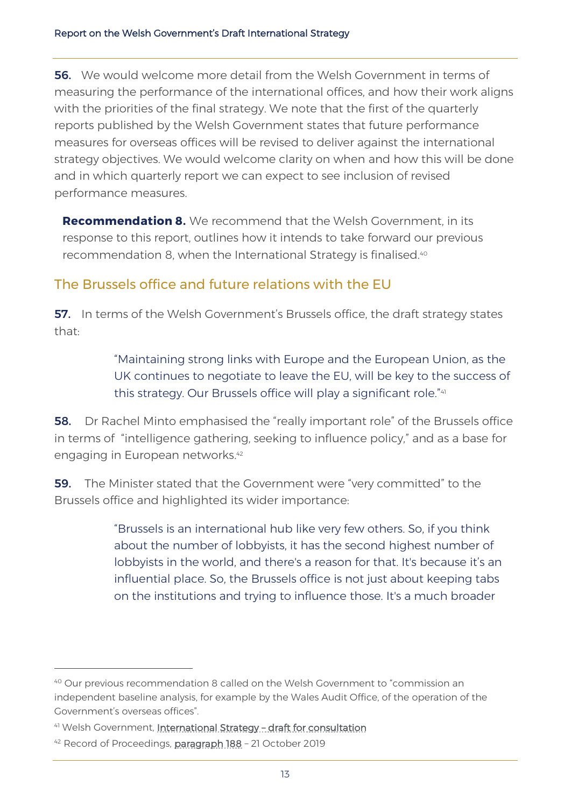56. We would welcome more detail from the Welsh Government in terms of measuring the performance of the international offices, and how their work aligns with the priorities of the final strategy. We note that the first of the quarterly reports published by the Welsh Government states that future performance measures for overseas offices will be revised to deliver against the international strategy objectives. We would welcome clarity on when and how this will be done and in which quarterly report we can expect to see inclusion of revised performance measures.

**Recommendation 8.** We recommend that the Welsh Government, in its response to this report, outlines how it intends to take forward our previous recommendation 8, when the International Strategy is finalised.<sup>40</sup>

#### The Brussels office and future relations with the EU

**57.** In terms of the Welsh Government's Brussels office, the draft strategy states that:

> "Maintaining strong links with Europe and the European Union, as the UK continues to negotiate to leave the EU, will be key to the success of this strategy. Our Brussels office will play a significant role."<sup>41</sup>

**58.** Dr Rachel Minto emphasised the "really important role" of the Brussels office in terms of "intelligence gathering, seeking to influence policy," and as a base for engaging in European networks. 42

59. The Minister stated that the Government were "very committed" to the Brussels office and highlighted its wider importance:

> "Brussels is an international hub like very few others. So, if you think about the number of lobbyists, it has the second highest number of lobbyists in the world, and there's a reason for that. It's because it's an influential place. So, the Brussels office is not just about keeping tabs on the institutions and trying to influence those. It's a much broader

<sup>40</sup> Our previous recommendation 8 called on the Welsh Government to "commission an independent baseline analysis, for example by the Wales Audit Office, of the operation of the Government's overseas offices".

<sup>41</sup> Welsh Government, [International Strategy](https://gov.wales/draft-international-strategy-for-wales) - draft for consultation

<sup>&</sup>lt;sup>42</sup> Record of Proceedings, [paragraph 188](https://record.assembly.wales/Meeting/5642) - 21 October 2019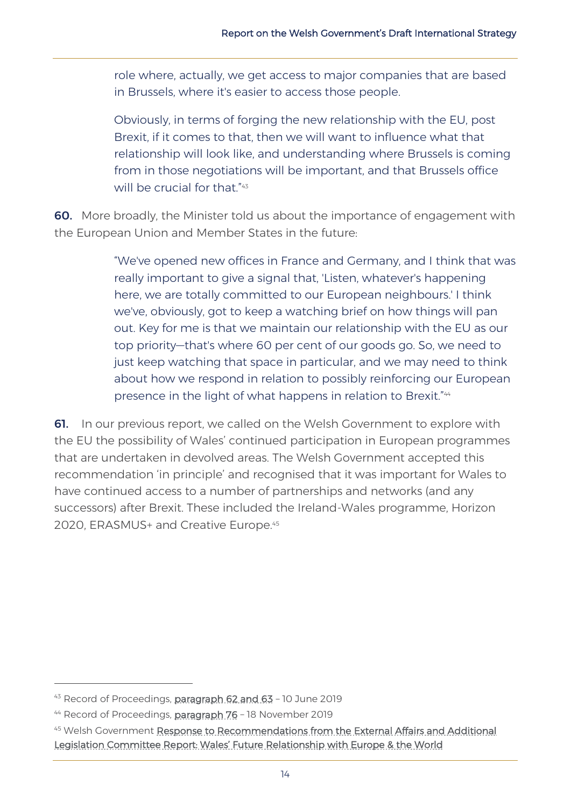role where, actually, we get access to major companies that are based in Brussels, where it's easier to access those people.

Obviously, in terms of forging the new relationship with the EU, post Brexit, if it comes to that, then we will want to influence what that relationship will look like, and understanding where Brussels is coming from in those negotiations will be important, and that Brussels office will be crucial for that." 43

60. More broadly, the Minister told us about the importance of engagement with the European Union and Member States in the future:

> "We've opened new offices in France and Germany, and I think that was really important to give a signal that, 'Listen, whatever's happening here, we are totally committed to our European neighbours.' I think we've, obviously, got to keep a watching brief on how things will pan out. Key for me is that we maintain our relationship with the EU as our top priority—that's where 60 per cent of our goods go. So, we need to just keep watching that space in particular, and we may need to think about how we respond in relation to possibly reinforcing our European presence in the light of what happens in relation to Brexit." 44

**61.** In our previous report, we called on the Welsh Government to explore with the EU the possibility of Wales' continued participation in European programmes that are undertaken in devolved areas. The Welsh Government accepted this recommendation 'in principle' and recognised that it was important for Wales to have continued access to a number of partnerships and networks (and any successors) after Brexit. These included the Ireland-Wales programme, Horizon 2020, ERASMUS+ and Creative Europe.<sup>45</sup>

<sup>43</sup> Record of Proceedings, [paragraph 62 and 63](https://record.assembly.wales/Meeting/5467) - 10 June 2019

<sup>&</sup>lt;sup>44</sup> Record of Proceedings, [paragraph 76](https://record.assembly.wales/Meeting/5645) - 18 November 2019

<sup>45</sup> Welsh Government Response to Recommendations from the External Affairs and Additional [Legislation Committee Report: Wales' Future Relationship with Europe & the World](http://www.assembly.wales/laid%20documents/gen-ld12502/gen-ld12502-e.pdf)